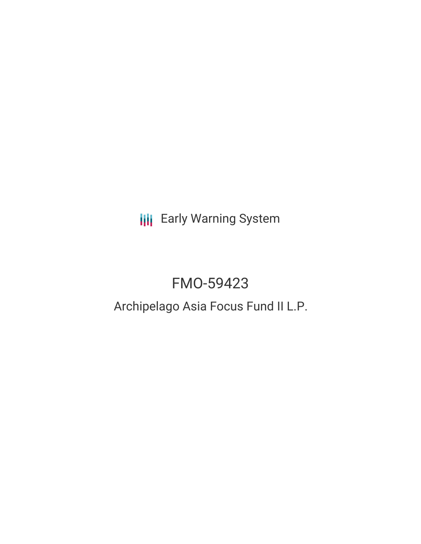**III** Early Warning System

# FMO-59423

## Archipelago Asia Focus Fund II L.P.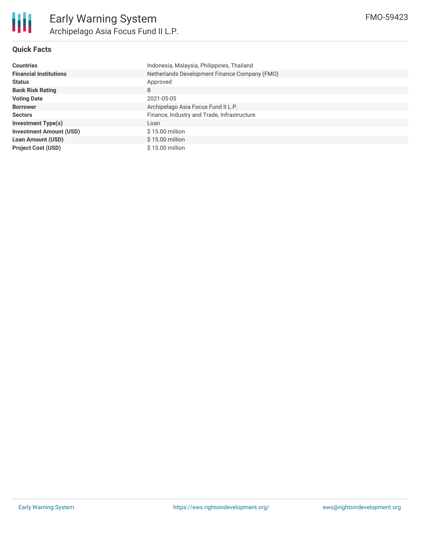#### **Quick Facts**

| <b>Countries</b>               | Indonesia, Malaysia, Philippines, Thailand    |  |  |  |
|--------------------------------|-----------------------------------------------|--|--|--|
| <b>Financial Institutions</b>  | Netherlands Development Finance Company (FMO) |  |  |  |
| <b>Status</b>                  | Approved                                      |  |  |  |
| <b>Bank Risk Rating</b>        | B                                             |  |  |  |
| <b>Voting Date</b>             | 2021-05-05                                    |  |  |  |
| <b>Borrower</b>                | Archipelago Asia Focus Fund II L.P.           |  |  |  |
| <b>Sectors</b>                 | Finance, Industry and Trade, Infrastructure   |  |  |  |
| <b>Investment Type(s)</b>      | Loan                                          |  |  |  |
| <b>Investment Amount (USD)</b> | $$15.00$ million                              |  |  |  |
| <b>Loan Amount (USD)</b>       | $$15.00$ million                              |  |  |  |
| <b>Project Cost (USD)</b>      | $$15.00$ million                              |  |  |  |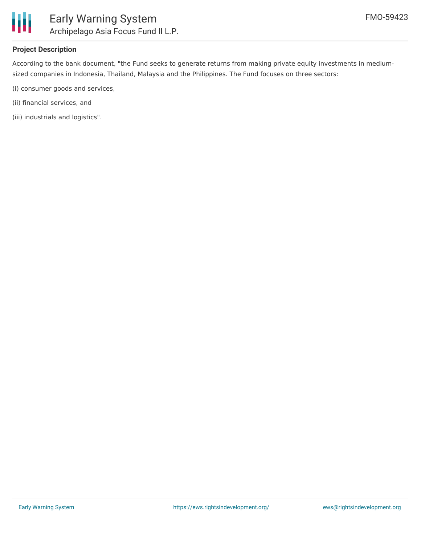

#### **Project Description**

According to the bank document, "the Fund seeks to generate returns from making private equity investments in mediumsized companies in Indonesia, Thailand, Malaysia and the Philippines. The Fund focuses on three sectors:

- (i) consumer goods and services,
- (ii) financial services, and
- (iii) industrials and logistics".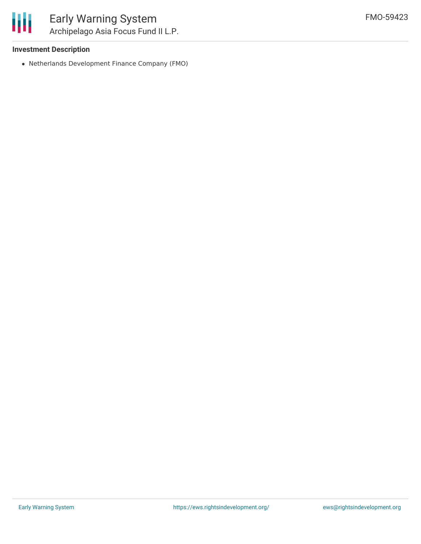#### **Investment Description**

Netherlands Development Finance Company (FMO)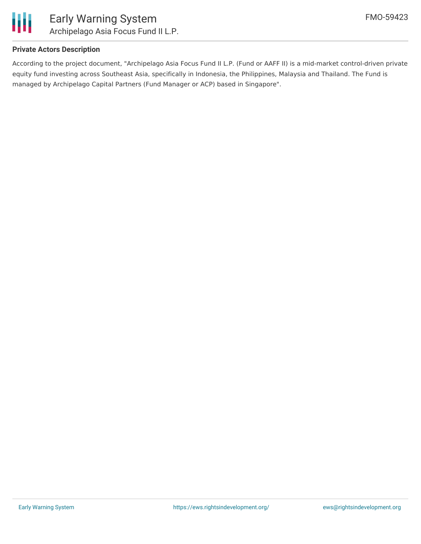

#### **Private Actors Description**

According to the project document, "Archipelago Asia Focus Fund II L.P. (Fund or AAFF II) is a mid-market control-driven private equity fund investing across Southeast Asia, specifically in Indonesia, the Philippines, Malaysia and Thailand. The Fund is managed by Archipelago Capital Partners (Fund Manager or ACP) based in Singapore".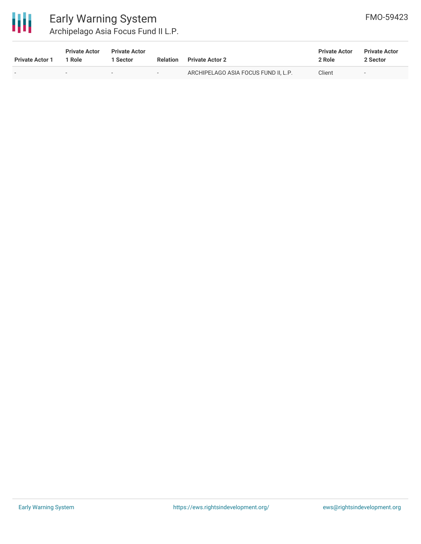

### Early Warning System Archipelago Asia Focus Fund II L.P.

| <b>Private Actor 1</b> | <b>Private Actor</b><br>1 Role | <b>Private Actor</b><br>Sector | <b>Relation</b> | <b>Private Actor 2</b>               | <b>Private Actor</b><br>2 Role | <b>Private Actor</b><br>2 Sector |
|------------------------|--------------------------------|--------------------------------|-----------------|--------------------------------------|--------------------------------|----------------------------------|
| . .                    | $\overline{\phantom{0}}$       | $\overline{\phantom{0}}$       | $\sim$          | ARCHIPELAGO ASIA FOCUS FUND II, L.P. | Client                         | $\overline{\phantom{0}}$         |